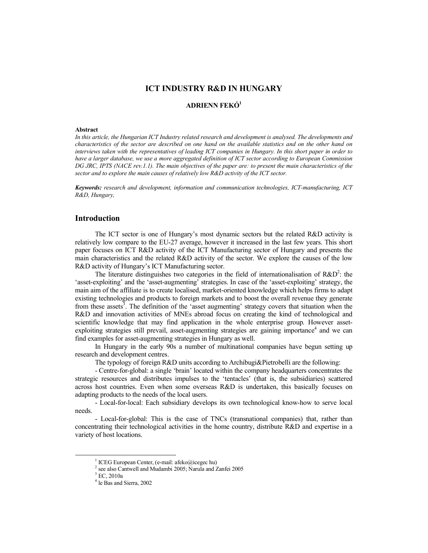# **ICT INDUSTRY R&D IN HUNGARY**

# **ADRIENN FEKÓ<sup>1</sup>**

### **Abstract**

*In this article, the Hungarian ICT Industry related research and development is analysed. The developments and characteristics of the sector are described on one hand on the available statistics and on the other hand on interviews taken with the representatives of leading ICT companies in Hungary. In this short paper in order to have a larger database, we use a more aggregated definition of ICT sector according to European Commission DG JRC, IPTS (NACE rev.1.1). The main objectives of the paper are: to present the main characteristics of the sector and to explore the main causes of relatively low R&D activity of the ICT sector.* 

*Keywords: research and development, information and communication technologies, ICT-manufacturing, ICT R&D, Hungary,* 

# **Introduction**

The ICT sector is one of Hungary's most dynamic sectors but the related R&D activity is relatively low compare to the EU-27 average, however it increased in the last few years. This short paper focuses on ICT R&D activity of the ICT Manufacturing sector of Hungary and presents the main characteristics and the related R&D activity of the sector. We explore the causes of the low R&D activity of Hungary's ICT Manufacturing sector.

The literature distinguishes two categories in the field of internationalisation of  $R&D^2$ : the 'asset-exploiting' and the 'asset-augmenting' strategies. In case of the 'asset-exploiting' strategy, the main aim of the affiliate is to create localised, market-oriented knowledge which helps firms to adapt existing technologies and products to foreign markets and to boost the overall revenue they generate from these assets<sup>3</sup>. The definition of the 'asset augmenting' strategy covers that situation when the R&D and innovation activities of MNEs abroad focus on creating the kind of technological and scientific knowledge that may find application in the whole enterprise group. However assetexploiting strategies still prevail, asset-augmenting strategies are gaining importance<sup>4</sup> and we can find examples for asset-augmenting strategies in Hungary as well.

In Hungary in the early 90s a number of multinational companies have begun setting up research and development centres.

The typology of foreign R&D units according to Archibugi&Pietrobelli are the following:

- Centre-for-global: a single 'brain' located within the company headquarters concentrates the strategic resources and distributes impulses to the 'tentacles' (that is, the subsidiaries) scattered across host countries. Even when some overseas R&D is undertaken, this basically focuses on adapting products to the needs of the local users.

- Local-for-local: Each subsidiary develops its own technological know-how to serve local needs.

- Local-for-global: This is the case of TNCs (transnational companies) that, rather than concentrating their technological activities in the home country, distribute R&D and expertise in a variety of host locations.

<sup>1</sup> ICEG European Center, (e-mail: afeko@icegec hu)

<sup>2</sup> see also Cantwell and Mudambi 2005; Narula and Zanfei 2005

 $3$  EC, 2010a

<sup>4</sup> le Bas and Sierra, 2002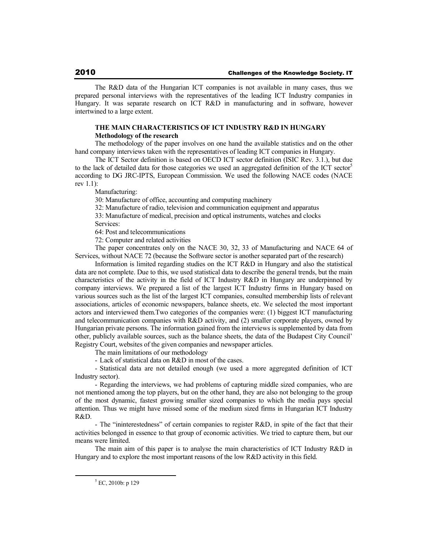The R&D data of the Hungarian ICT companies is not available in many cases, thus we prepared personal interviews with the representatives of the leading ICT Industry companies in Hungary. It was separate research on ICT R&D in manufacturing and in software, however intertwined to a large extent.

### **THE MAIN CHARACTERISTICS OF ICT INDUSTRY R&D IN HUNGARY Methodology of the research**

The methodology of the paper involves on one hand the available statistics and on the other hand company interviews taken with the representatives of leading ICT companies in Hungary.

The ICT Sector definition is based on OECD ICT sector definition (ISIC Rev. 3.1.), but due to the lack of detailed data for those categories we used an aggregated definition of the ICT sector<sup>5</sup> according to DG JRC-IPTS, European Commission. We used the following NACE codes (NACE rev 1.1):

Manufacturing:

30: Manufacture of office, accounting and computing machinery

32: Manufacture of radio, television and communication equipment and apparatus

33: Manufacture of medical, precision and optical instruments, watches and clocks Services:

64: Post and telecommunications

72: Computer and related activities

The paper concentrates only on the NACE 30, 32, 33 of Manufacturing and NACE 64 of Services, without NACE 72 (because the Software sector is another separated part of the research)

Information is limited regarding studies on the ICT R&D in Hungary and also the statistical data are not complete. Due to this, we used statistical data to describe the general trends, but the main characteristics of the activity in the field of ICT Industry R&D in Hungary are underpinned by company interviews. We prepared a list of the largest ICT Industry firms in Hungary based on various sources such as the list of the largest ICT companies, consulted membership lists of relevant associations, articles of economic newspapers, balance sheets, etc. We selected the most important actors and interviewed them.Two categories of the companies were: (1) biggest ICT manufacturing and telecommunication companies with R&D activity, and (2) smaller corporate players, owned by Hungarian private persons. The information gained from the interviews is supplemented by data from other, publicly available sources, such as the balance sheets, the data of the Budapest City Council' Registry Court, websites of the given companies and newspaper articles.

The main limitations of our methodology

- Lack of statistical data on R&D in most of the cases.

- Statistical data are not detailed enough (we used a more aggregated definition of ICT Industry sector).

- Regarding the interviews, we had problems of capturing middle sized companies, who are not mentioned among the top players, but on the other hand, they are also not belonging to the group of the most dynamic, fastest growing smaller sized companies to which the media pays special attention. Thus we might have missed some of the medium sized firms in Hungarian ICT Industry R&D.

- The "ininterestedness" of certain companies to register R&D, in spite of the fact that their activities belonged in essence to that group of economic activities. We tried to capture them, but our means were limited.

The main aim of this paper is to analyse the main characteristics of ICT Industry R&D in Hungary and to explore the most important reasons of the low R&D activity in this field.

 $<sup>5</sup>$  EC, 2010b: p 129</sup>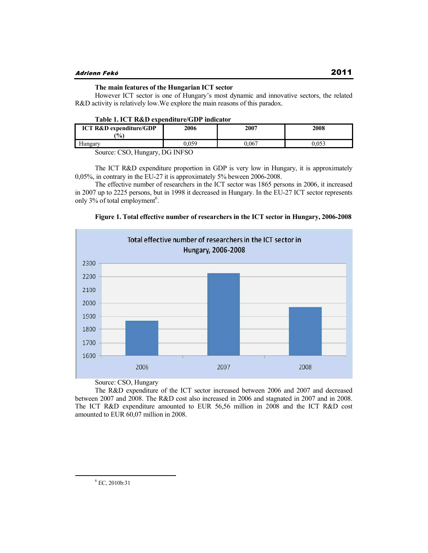## **The main features of the Hungarian ICT sector**

However ICT sector is one of Hungary's most dynamic and innovative sectors, the related R&D activity is relatively low.We explore the main reasons of this paradox.

|  | Table 1. ICT R&D expenditure/GDP indicator |
|--|--------------------------------------------|
|--|--------------------------------------------|

| <b>ICT R&amp;D expenditure/GDP</b><br>$\frac{9}{6}$ | 2006   | 2007 | 2008 |
|-----------------------------------------------------|--------|------|------|
|                                                     |        | .067 |      |
| $\sim$ $\sim$ $\sim$                                | DQIDHQ |      |      |

Source: CSO, Hungary, DG INFSO

The ICT R&D expenditure proportion in GDP is very low in Hungary, it is approximately 0,05%, in contrary in the EU-27 it is approximately 5% beween 2006-2008.

The effective number of researchers in the ICT sector was 1865 persons in 2006, it increased in 2007 up to 2225 persons, but in 1998 it decreased in Hungary. In the EU-27 ICT sector represents only 3% of total employment<sup>6</sup>.





Source: CSO, Hungary

The R&D expenditure of the ICT sector increased between 2006 and 2007 and decreased between 2007 and 2008. The R&D cost also increased in 2006 and stagnated in 2007 and in 2008. The ICT R&D expenditure amounted to EUR 56,56 million in 2008 and the ICT R&D cost amounted to EUR 60,07 million in 2008.

 $^6$  EC, 2010b:31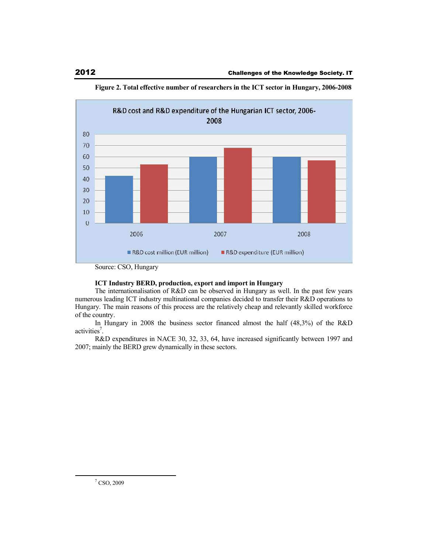

**Figure 2. Total effective number of researchers in the ICT sector in Hungary, 2006-2008** 

# **ICT Industry BERD, production, export and import in Hungary**

The internationalisation of R&D can be observed in Hungary as well. In the past few years numerous leading ICT industry multinational companies decided to transfer their R&D operations to Hungary. The main reasons of this process are the relatively cheap and relevantly skilled workforce of the country.

In Hungary in 2008 the business sector financed almost the half (48,3%) of the R&D activities<sup>7</sup>.

R&D expenditures in NACE 30, 32, 33, 64, have increased significantly between 1997 and 2007; mainly the BERD grew dynamically in these sectors.

 $\sqrt{7}$  CSO, 2009

Source: CSO, Hungary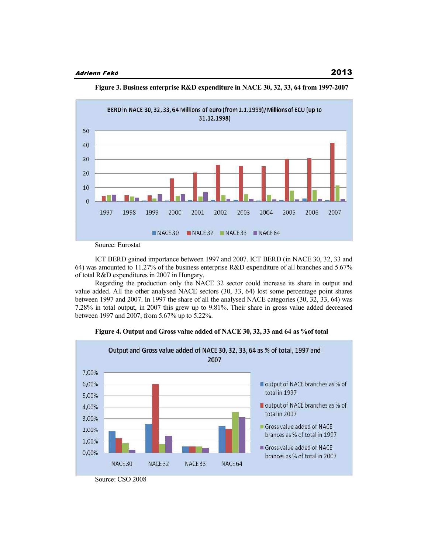



ICT BERD gained importance between 1997 and 2007. ICT BERD (in NACE 30, 32, 33 and 64) was amounted to 11.27% of the business enterprise R&D expenditure of all branches and 5.67% of total R&D expenditures in 2007 in Hungary.

Regarding the production only the NACE 32 sector could increase its share in output and value added. All the other analysed NACE sectors (30, 33, 64) lost some percentage point shares between 1997 and 2007. In 1997 the share of all the analysed NACE categories (30, 32, 33, 64) was 7.28% in total output, in 2007 this grew up to 9.81%. Their share in gross value added decreased between 1997 and 2007, from 5.67% up to 5.22%.



**Figure 4. Output and Gross value added of NACE 30, 32, 33 and 64 as %of total**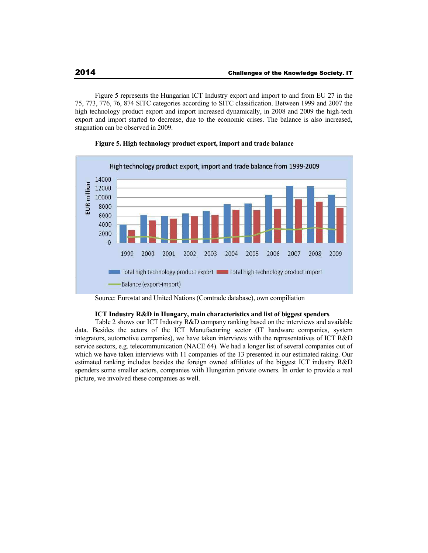Figure 5 represents the Hungarian ICT Industry export and import to and from EU 27 in the 75, 773, 776, 76, 874 SITC categories according to SITC classification. Between 1999 and 2007 the high technology product export and import increased dynamically, in 2008 and 2009 the high-tech export and import started to decrease, due to the economic crises. The balance is also increased, stagnation can be observed in 2009.



## **Figure 5. High technology product export, import and trade balance**

### **ICT Industry R&D in Hungary, main characteristics and list of biggest spenders**

Table 2 shows our ICT Industry R&D company ranking based on the interviews and available data. Besides the actors of the ICT Manufacturing sector (IT hardware companies, system integrators, automotive companies), we have taken interviews with the representatives of ICT R&D service sectors, e.g. telecommunication (NACE 64). We had a longer list of several companies out of which we have taken interviews with 11 companies of the 13 presented in our estimated raking. Our estimated ranking includes besides the foreign owned affiliates of the biggest ICT industry R&D spenders some smaller actors, companies with Hungarian private owners. In order to provide a real picture, we involved these companies as well.

Source: Eurostat and United Nations (Comtrade database), own compiliation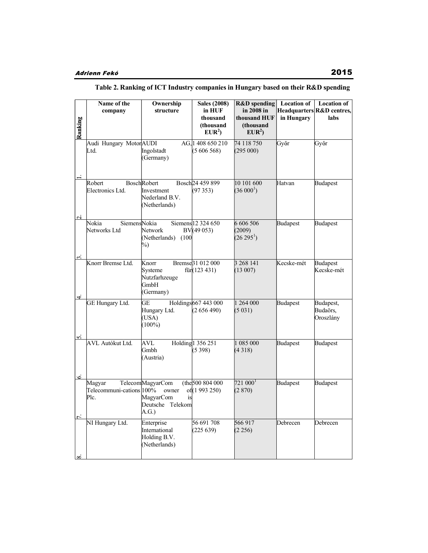### **R&D spending Location of Name of the Ownership Sales (2008) Location of company structure in HUF in 2008 in Headquarters R&D centres,**  Ranking **thousand thousand HUF in Hungary labs (thousand (thousand EUR<sup>2</sup> ) EUR<sup>2</sup> )** AG, 1408 650 210 74 118 750 Győr Győr Audi Hungary Motor AUDI AG, Ltd. Ingolstadt (5 606 568) (295 000) (Germany) 10 101 600 Bosch 24 459 899 Hatvan Budapest Robert Bosch Robert Bosch Electronics Ltd. Investment (97 353)  $(36\ 000^1)$ Nederland B.V. (Netherlands) Nokia Siemens 6 606 506 Budapest Budapest Nokia Siemens 12 324 650 Networks Ltd Network  $BV(49053)$ (2009) (Netherlands) (100  $(26\,295^1)$ %) Knorr Bremse Ltd. Knorr Bremse 31 012 000 3 268 141 Kecske-mét Budapest Systeme  $f\$ {tir}(123 431)  $(13007)$ Kecske-mét Nutzfarhzeuge GmbH (Germany)  $\overline{a}$ GE Hungary Ltd. **GE** Holdings 667 443 000 1 264 000 Budapest Budapest, Hungary Ltd. (2 656 490)  $(5 031)$ Budaörs, (USA) Oroszlány  $(100\%)$ AVL Autókut Ltd. AVL Holding 1 356 251 1 085 000 Budapest Budapest Gmbh (5 398) (4 318) (Austria) (the 500 804 000  $721~000<sup>1</sup>$ Budapest Budapest Magyar Telecom MagyarCom (the of(1 993 250) (2 870) Telecommuni-cations 100% owner of Plc. MagyarCom is Deutsche Telekom A.G.) NI Hungary Ltd. Enterprise 56 691 708 566 917 Debrecen Debrecen International (225 639) (2 256) Holding B.V.

(Netherlands)

### **Table 2. Ranking of ICT Industry companies in Hungary based on their R&D spending**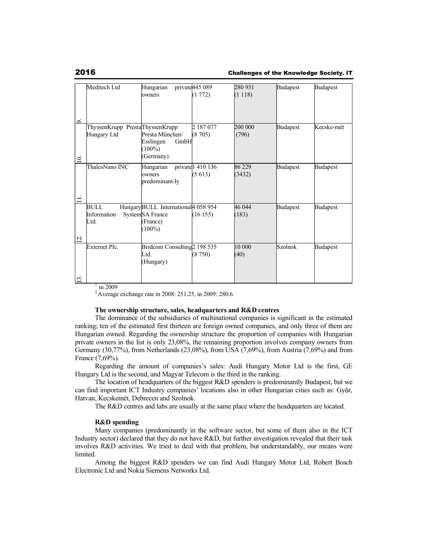### 2016 Challenges of the Knowledge Society. IT

|       | Meditech Ltd                    | Hungarian                            | private 445 089                | 280 931 | <b>Budapest</b> | <b>Budapest</b> |
|-------|---------------------------------|--------------------------------------|--------------------------------|---------|-----------------|-----------------|
|       |                                 | owners                               | (1772)                         | (1118)  |                 |                 |
|       |                                 |                                      |                                |         |                 |                 |
|       |                                 |                                      |                                |         |                 |                 |
| ö     |                                 |                                      |                                |         |                 |                 |
|       | ThyssenKrupp PrestaThyssenKrupp |                                      | 2187077                        | 200 000 | Budapest        | Kecske-mét      |
|       | Hungary Ltd                     | Presta München/                      | (8705)                         | (796)   |                 |                 |
|       |                                 | Esslingen<br>GmbH                    |                                |         |                 |                 |
|       |                                 | $(100\%)$                            |                                |         |                 |                 |
| $\Xi$ |                                 | (Germany)                            |                                |         |                 |                 |
|       | ThalesNano INC                  | Hungarian                            | private 1 410 $1\overline{36}$ | 86 229  | <b>Budapest</b> | <b>Budapest</b> |
|       |                                 | lowners                              | (5613)                         | (3432)  |                 |                 |
|       |                                 | predominant-ly                       |                                |         |                 |                 |
|       |                                 |                                      |                                |         |                 |                 |
|       |                                 |                                      |                                |         |                 |                 |
|       | <b>BULL</b>                     | Hungary BULL International 4 058 954 |                                | 46 044  | <b>Budapest</b> | <b>Budapest</b> |
|       | Information                     | SystemSA France                      | (16155)                        | (183)   |                 |                 |
|       | Ltd.                            | (France)                             |                                |         |                 |                 |
|       |                                 | $(100\%)$                            |                                |         |                 |                 |
| Ξ.    |                                 |                                      |                                |         |                 |                 |
|       | <b>Externet Plc.</b>            | Birdcom Consulting 2198 535          |                                | 10 000  | <b>Szolnok</b>  | <b>Budapest</b> |
|       |                                 | Ltd.                                 | (8750)                         | (40)    |                 |                 |
|       |                                 | (Hungary)                            |                                |         |                 |                 |
|       |                                 |                                      |                                |         |                 |                 |
| $\Xi$ |                                 |                                      |                                |         |                 |                 |

 $\frac{1}{1}$  in 2009

<sup>2</sup>Average exchange rate in 2008: 251.25, in 2009: 280.6.

### **The ownership structure, sales, headquarters and R&D centres**

The dominance of the subsidiaries of multinational companies is significant in the estimated ranking; ten of the estimated first thirteen are foreign owned companies, and only three of them are Hungarian owned. Regarding the ownership structure the proportion of companies with Hungarian private owners in the list is only 23,08%, the remaining proportion involves company owners from Germany (30,77%), from Netherlands (23,08%), from USA (7,69%), from Austria (7,69%) and from France (7,69%).

Regarding the amount of companies's sales: Audi Hungary Motor Ltd is the first, GE Hungary Ltd is the second, and Magyar Telecom is the third in the ranking.

The location of headquarters of the biggest R&D spenders is predominantly Budapest, but we can find important ICT Industry companies' locations also in other Hungarian cities such as: Győr, Hatvan, Kecskemét, Debrecen and Szolnok.

The R&D centres and labs are usually at the same place where the headquarters are located.

### **R&D spending**

Many companies (predominantly in the software sector, but some of them also in the ICT Industry sector) declared that they do not have R&D, but further investigation revealed that their task involves R&D activities. We tried to deal with that problem, but understandably, our means were limited.

Among the biggest R&D spenders we can find Audi Hungary Motor Ltd, Robert Bosch Electronic Ltd and Nokia Siemens Networks Ltd.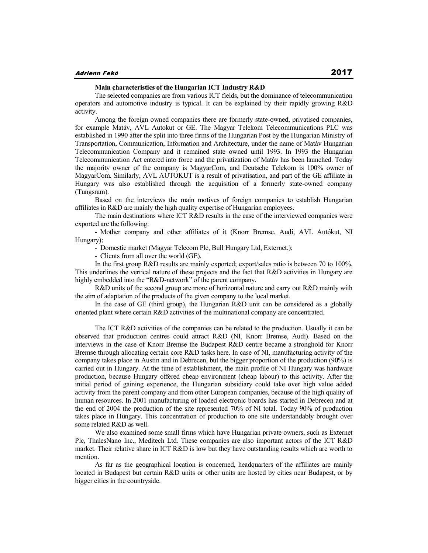# **Main characteristics of the Hungarian ICT Industry R&D**

The selected companies are from various ICT fields, but the dominance of telecommunication operators and automotive industry is typical. It can be explained by their rapidly growing R&D activity.

Among the foreign owned companies there are formerly state-owned, privatised companies, for example Matáv, AVL Autokut or GE. The Magyar Telekom Telecommunications PLC was established in 1990 after the split into three firms of the Hungarian Post by the Hungarian Ministry of Transportation, Communication, Information and Architecture, under the name of Matáv Hungarian Telecommunication Company and it remained state owned until 1993. In 1993 the Hungarian Telecommunication Act entered into force and the privatization of Matáv has been launched. Today the majority owner of the company is MagyarCom, and Deutsche Telekom is 100% owner of MagyarCom. Similarly, AVL AUTOKUT is a result of privatisation, and part of the GE affiliate in Hungary was also established through the acquisition of a formerly state-owned company (Tungsram).

Based on the interviews the main motives of foreign companies to establish Hungarian affiliates in R&D are mainly the high quality expertise of Hungarian employees.

The main destinations where ICT R&D results in the case of the interviewed companies were exported are the following:

- Mother company and other affiliates of it (Knorr Bremse, Audi, AVL Autókut, NI Hungary);

- Domestic market (Magyar Telecom Plc, Bull Hungary Ltd, Externet,);

- Clients from all over the world (GE).

In the first group R&D results are mainly exported; export/sales ratio is between 70 to 100%. This underlines the vertical nature of these projects and the fact that R&D activities in Hungary are highly embedded into the "R&D-network" of the parent company.

R&D units of the second group are more of horizontal nature and carry out R&D mainly with the aim of adaptation of the products of the given company to the local market.

In the case of GE (third group), the Hungarian R&D unit can be considered as a globally oriented plant where certain R&D activities of the multinational company are concentrated.

The ICT R&D activities of the companies can be related to the production. Usually it can be observed that production centres could attract R&D (NI, Knorr Bremse, Audi). Based on the interviews in the case of Knorr Bremse the Budapest R&D centre became a stronghold for Knorr Bremse through allocating certain core R&D tasks here. In case of NI, manufacturing activity of the company takes place in Austin and in Debrecen, but the bigger proportion of the production (90%) is carried out in Hungary. At the time of establishment, the main profile of NI Hungary was hardware production, because Hungary offered cheap environment (cheap labour) to this activity. After the initial period of gaining experience, the Hungarian subsidiary could take over high value added activity from the parent company and from other European companies, because of the high quality of human resources. In 2001 manufacturing of loaded electronic boards has started in Debrecen and at the end of 2004 the production of the site represented 70% of NI total. Today 90% of production takes place in Hungary. This concentration of production to one site understandably brought over some related R&D as well.

We also examined some small firms which have Hungarian private owners, such as Externet Plc, ThalesNano Inc., Meditech Ltd. These companies are also important actors of the ICT R&D market. Their relative share in ICT R&D is low but they have outstanding results which are worth to mention.

As far as the geographical location is concerned, headquarters of the affiliates are mainly located in Budapest but certain R&D units or other units are hosted by cities near Budapest, or by bigger cities in the countryside.